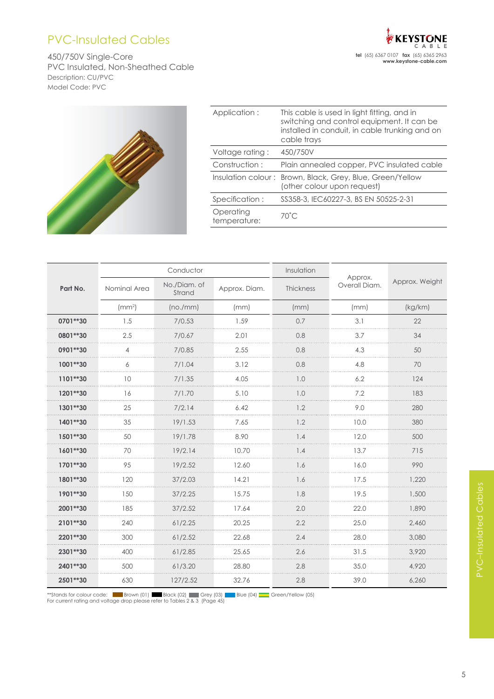## PVC-Insulated Cables

450/750V Single-Core PVC Insulated, Non-Sheathed Cable Description: CU/PVC Model Code: PVC



| Application:              | This cable is used in light fitting, and in<br>switching and control equipment. It can be<br>installed in conduit, in cable trunking and on<br>cable trays |
|---------------------------|------------------------------------------------------------------------------------------------------------------------------------------------------------|
| Voltage rating:           | 450/750V                                                                                                                                                   |
| Construction:             | Plain annealed copper, PVC insulated cable                                                                                                                 |
| Insulation colour:        | Brown, Black, Grey, Blue, Green/Yellow<br>(other colour upon request)                                                                                      |
| Specification:            | SS358-3, IEC60227-3, BS EN 50525-2-31                                                                                                                      |
| Operating<br>temperature: | $70^{\circ}$ C                                                                                                                                             |
|                           |                                                                                                                                                            |

|          |                  | Conductor              |               | Insulation |                          |                |  |  |  |
|----------|------------------|------------------------|---------------|------------|--------------------------|----------------|--|--|--|
| Part No. | Nominal Area     | No./Diam. of<br>Strand | Approx. Diam. | Thickness  | Approx.<br>Overall Diam. | Approx. Weight |  |  |  |
|          | /mm <sup>2</sup> | (no./mm)               | (mm)          | (mm)       | (mm)                     | (kg/km)        |  |  |  |
| 0701**30 | 1.5              | 7/0.53                 | 1.59          | 0.7        | 3.1                      | 22             |  |  |  |
| 0801**30 | 2.5              | 7/0.67                 | 2.01          | 0.8        | 3.7                      | 34             |  |  |  |
| 0901**30 | 4                | 7/0.85                 | 2.55          | 0.8        | 4.3                      | 50             |  |  |  |
| 1001**30 | 6                | 7/1.04                 | 3.12          | 0.8        | 4.8                      | 70             |  |  |  |
| 1101**30 | 10               | 7/1.35                 | 4.05          | 1.0        | 6.2                      | 124            |  |  |  |
| 1201**30 | 16               | 7/1.70                 | 5.10          | 1.0        | 7.2                      | 183            |  |  |  |
| 1301**30 | 25               | 7/2.14                 | 6.42          | 1.2        | 9.0                      | 280            |  |  |  |
| 1401**30 | 35               | 19/1.53                | 7.65          | 1.2        | 10.0                     | 380            |  |  |  |
| 1501**30 | 50               | 19/1.78                | 8.90          | 1.4        | 12.0                     | 500            |  |  |  |
| 1601**30 | 70               | 19/2.14                | 10.70         | 1.4        | 13.7                     | 715            |  |  |  |
| 1701**30 | 95               | 19/2.52                | 12.60         | 1.6        | 16.0                     | 990            |  |  |  |
| 1801**30 | 120              | 37/2.03                | 14.21         | 1.6        | 17.5                     | 1.220          |  |  |  |
| 1901**30 | 150              | 37/2.25                | 15.75         | 1.8        | 19.5                     | 1,500          |  |  |  |
| 2001**30 | 185              | 37/2.52                | 17.64         | 2.0        | 22.0                     | 1,890          |  |  |  |
| 2101**30 | 240              | 61/2.25                | 20.25         | 2.2        | 25.0                     | 2,460          |  |  |  |
| 2201**30 | 300              | 61/2.52                | 22.68         | 2.4        | 28.0                     | 3,080          |  |  |  |
| 2301**30 | 400              | 61/2.85                | 25.65         | 2.6        | 31.5                     | 3.920          |  |  |  |
| 2401**30 | 500              | 61/3.20                | 28.80         | 2.8        | 35.0                     | 4,920          |  |  |  |
| 2501**30 | 630              | 127/2.52               | 32.76         | 2.8        | 39.0                     | 6,260          |  |  |  |

\*\*Stands for colour code: Brown (01) Black (02) Grey (03) Blue (04) Green/Yellow (05)<br>For current rating and voltage drop please refer to Tables 2 & 3 (Page 45)